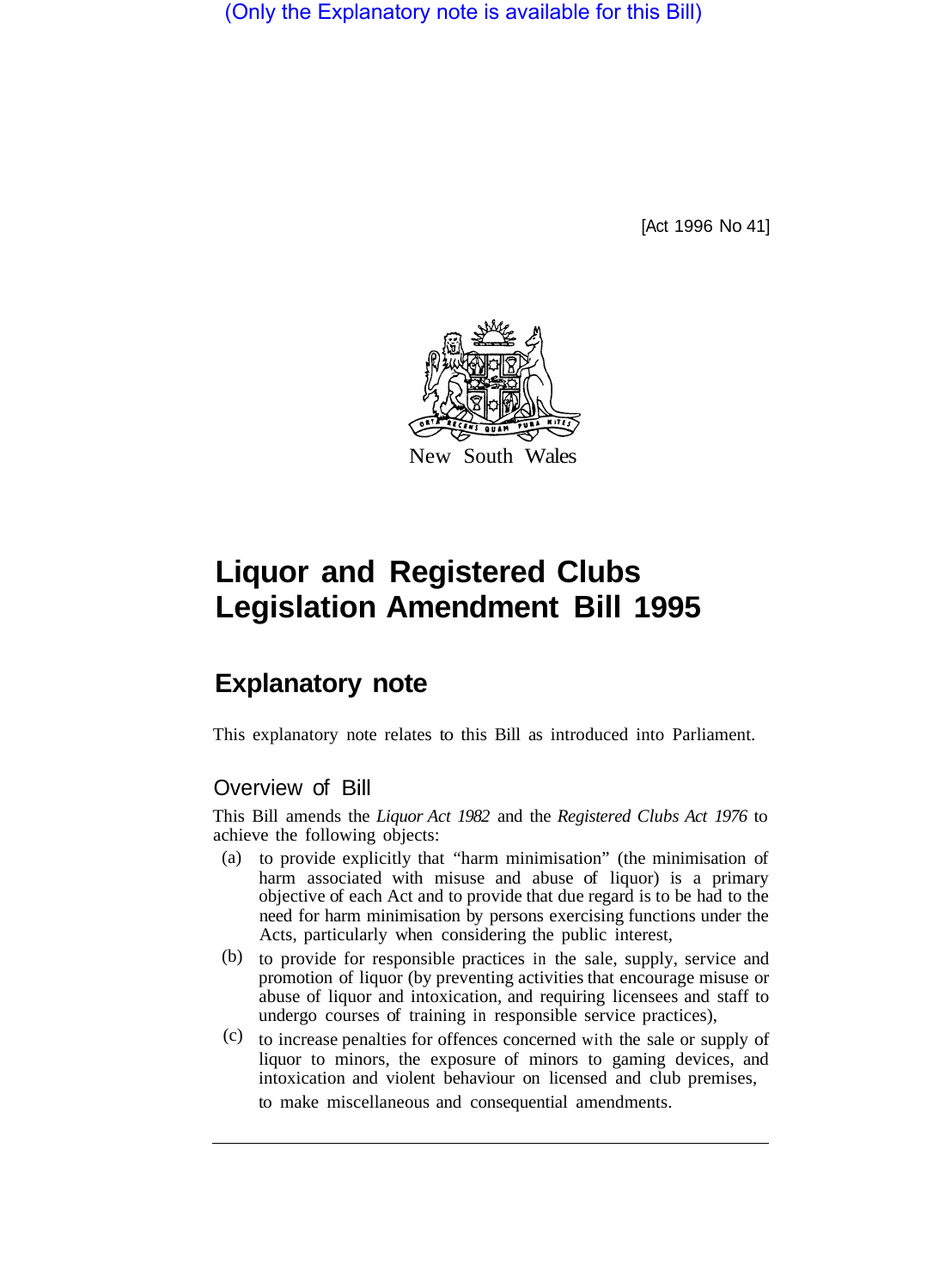(Only the Explanatory note is available for this Bill)

[Act 1996 No 41]



# **Liquor and Registered Clubs Legislation Amendment Bill 1995**

# **Explanatory note**

This explanatory note relates to this Bill as introduced into Parliament.

## Overview of Bill

This Bill amends the *Liquor Act 1982* and the *Registered Clubs Act 1976* to achieve the following objects:

- to provide explicitly that "harm minimisation" (the minimisation of harm associated with misuse and abuse of liquor) is a primary objective of each Act and to provide that due regard is to be had to the need for harm minimisation by persons exercising functions under the Acts, particularly when considering the public interest, (a)
- (b) to provide for responsible practices in the sale, supply, service and promotion of liquor (by preventing activities that encourage misuse or abuse of liquor and intoxication, and requiring licensees and staff to undergo courses of training in responsible service practices),
- $(c)$  to increase penalties for offences concerned with the sale or supply of liquor to minors, the exposure of minors to gaming devices, and intoxication and violent behaviour on licensed and club premises, to make miscellaneous and consequential amendments.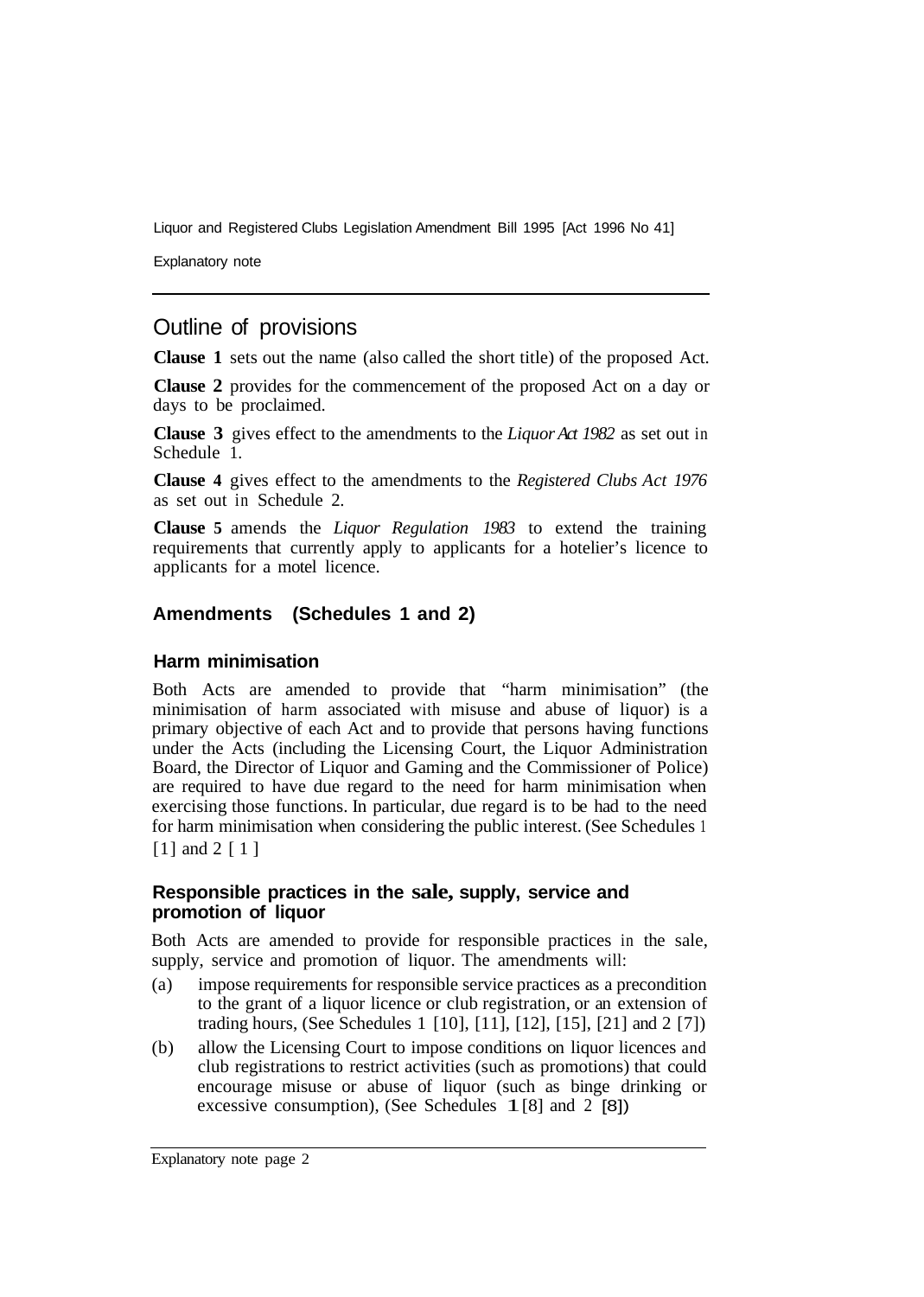Explanatory note

## Outline of provisions

**Clause 1** sets out the name (also called the short title) of the proposed Act.

**Clause 2** provides for the commencement of the proposed Act on a day or days to be proclaimed.

**Clause 3** gives effect to the amendments to the *Liquor Act 1982* as set out in Schedule 1.

**Clause 4** gives effect to the amendments to the *Registered Clubs Act 1976*  as set out in Schedule 2.

**Clause 5** amends the *Liquor Regulation 1983* to extend the training requirements that currently apply to applicants for a hotelier's licence to applicants for a motel licence.

#### **Amendments (Schedules 1 and 2)**

#### **Harm minimisation**

Both Acts are amended to provide that "harm minimisation" (the minimisation of harm associated with misuse and abuse of liquor) is a primary objective of each Act and to provide that persons having functions under the Acts (including the Licensing Court, the Liquor Administration Board, the Director of Liquor and Gaming and the Commissioner of Police) are required to have due regard to the need for harm minimisation when exercising those functions. In particular, due regard is to be had to the need for harm minimisation when considering the public interest. (See Schedules 1 [1] and 2 [1]

#### **Responsible practices in the sale, supply, service and promotion of liquor**

Both Acts are amended to provide for responsible practices in the sale, supply, service and promotion of liquor. The amendments will:

- (a) impose requirements for responsible service practices as a precondition to the grant of a liquor licence or club registration, or an extension of trading hours, (See Schedules 1 [10], [11], [12], [15], [21] and 2 [7])
- (b) allow the Licensing Court to impose conditions on liquor licences and club registrations to restrict activities (such as promotions) that could encourage misuse or abuse of liquor (such as binge drinking or excessive consumption), (See Schedules  $1 \, [8]$  and  $2 \, [8]$ )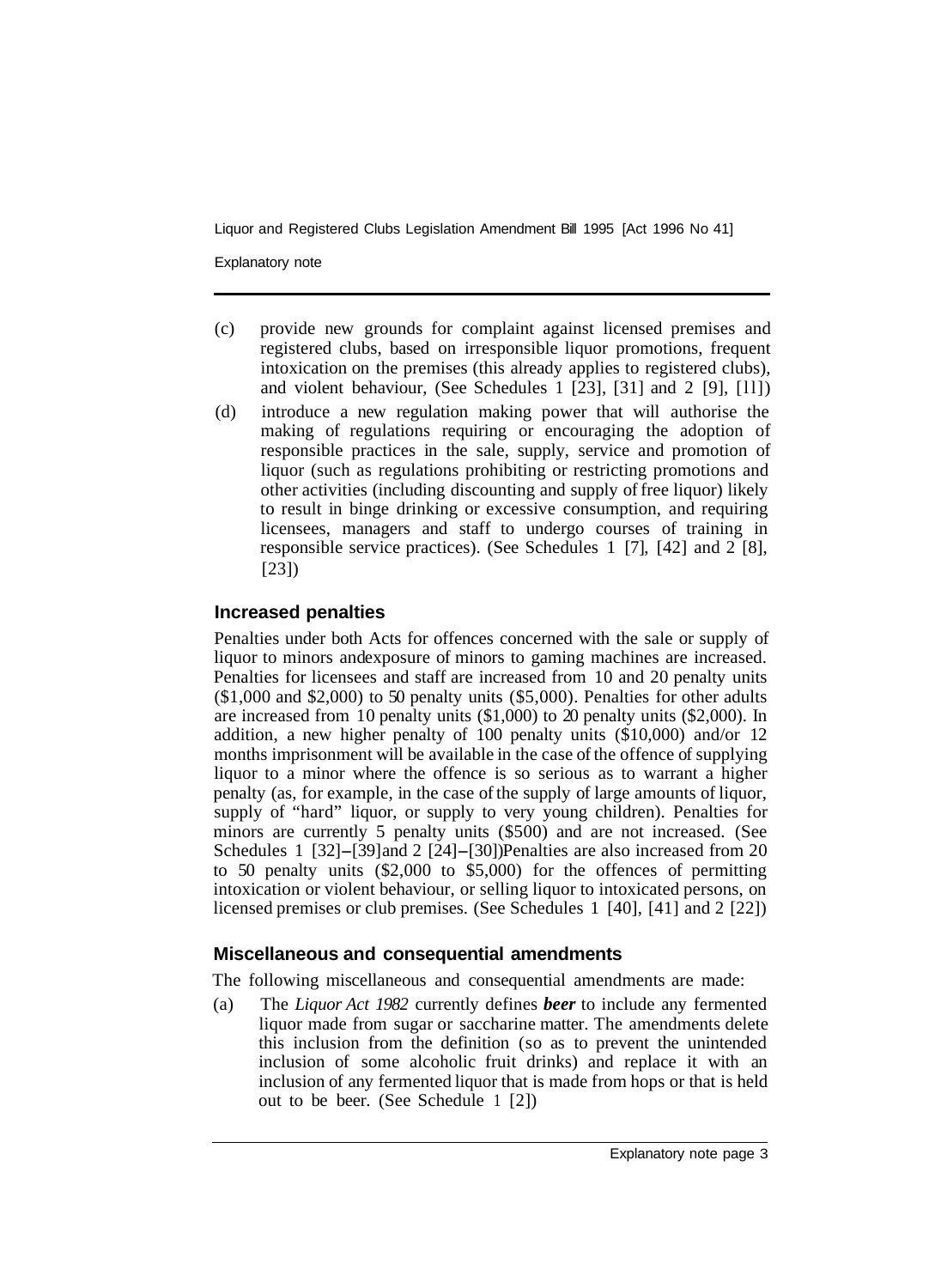Explanatory note

- (c) provide new grounds for complaint against licensed premises and registered clubs, based on irresponsible liquor promotions, frequent intoxication on the premises (this already applies to registered clubs), and violent behaviour, (See Schedules  $1$  [23], [31] and  $2$  [9], [11])
- (d) introduce a new regulation making power that will authorise the making of regulations requiring or encouraging the adoption of responsible practices in the sale, supply, service and promotion of liquor (such as regulations prohibiting or restricting promotions and other activities (including discounting and supply of free liquor) likely to result in binge drinking or excessive consumption, and requiring licensees, managers and staff to undergo courses of training in responsible service practices). (See Schedules 1 [7], [42] and 2 [8], [23])

#### **Increased penalties**

Penalties under both Acts for offences concerned with the sale or supply of liquor to minors and exposure of minors to gaming machines are increased. Penalties for licensees and staff are increased from 10 and 20 penalty units (\$1,000 and \$2,000) to 50 penalty units (\$5,000). Penalties for other adults are increased from 10 penalty units (\$1,000) to 20 penalty units (\$2,000). In addition, a new higher penalty of 100 penalty units (\$10,000) and/or 12 months imprisonment will be available in the case of the offence of supplying liquor to a minor where the offence is so serious as to warrant a higher penalty (as, for example, in the case of the supply of large amounts of liquor, supply of "hard" liquor, or supply to very young children). Penalties for minors are currently 5 penalty units (\$500) and are not increased. (See Schedules 1 [32]-[39] and 2 [24]-[30]) Penalties are also increased from 20 to 50 penalty units (\$2,000 to \$5,000) for the offences of permitting intoxication or violent behaviour, or selling liquor to intoxicated persons, on licensed premises or club premises. (See Schedules 1 [40], [41] and 2 [22])

#### **Miscellaneous and consequential amendments**

The following miscellaneous and consequential amendments are made:

(a) The *Liquor Act 1982* currently defines *beer* to include any fermented liquor made from sugar or saccharine matter. The amendments delete this inclusion from the definition (so as to prevent the unintended inclusion of some alcoholic fruit drinks) and replace it with an inclusion of any fermented liquor that is made from hops or that is held out to be beer. (See Schedule 1 [2])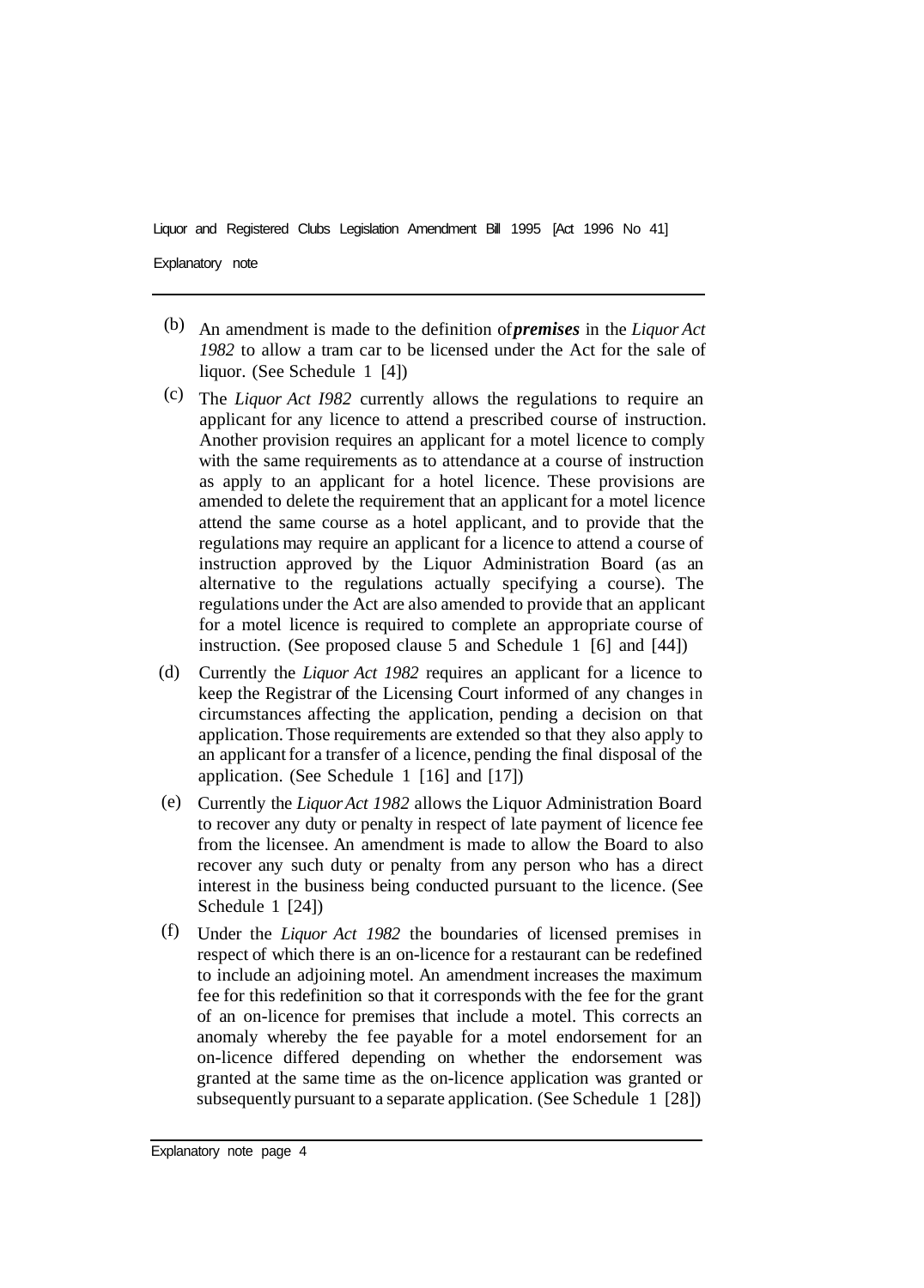- (b) An amendment is made to the definition of *premises* in the *Liquor Act 1982* to allow a tram car to be licensed under the Act for the sale of liquor. (See Schedule 1 [4])
- The *Liquor Act I982* currently allows the regulations to require an (c) applicant for any licence to attend a prescribed course of instruction. Another provision requires an applicant for a motel licence to comply with the same requirements as to attendance at a course of instruction as apply to an applicant for a hotel licence. These provisions are amended to delete the requirement that an applicant for a motel licence attend the same course as a hotel applicant, and to provide that the regulations may require an applicant for a licence to attend a course of instruction approved by the Liquor Administration Board (as an alternative to the regulations actually specifying a course). The regulations under the Act are also amended to provide that an applicant for a motel licence is required to complete an appropriate course of instruction. (See proposed clause 5 and Schedule 1 [6] and [44])
- Currently the *Liquor Act 1982* requires an applicant for a licence to keep the Registrar of the Licensing Court informed of any changes in circumstances affecting the application, pending a decision on that application. Those requirements are extended so that they also apply to an applicant for a transfer of a licence, pending the final disposal of the application. (See Schedule 1 [16] and [17]) (d)
- Currently the *Liquor Act 1982* allows the Liquor Administration Board (e) to recover any duty or penalty in respect of late payment of licence fee from the licensee. An amendment is made to allow the Board to also recover any such duty or penalty from any person who has a direct interest in the business being conducted pursuant to the licence. (See Schedule 1 [24])
- Under the *Liquor Act 1982* the boundaries of licensed premises in (f)respect of which there is an on-licence for a restaurant can be redefined to include an adjoining motel. An amendment increases the maximum fee for this redefinition so that it corresponds with the fee for the grant of an on-licence for premises that include a motel. This corrects an anomaly whereby the fee payable for a motel endorsement for an on-licence differed depending on whether the endorsement was granted at the same time as the on-licence application was granted or subsequently pursuant to a separate application. (See Schedule 1 [28])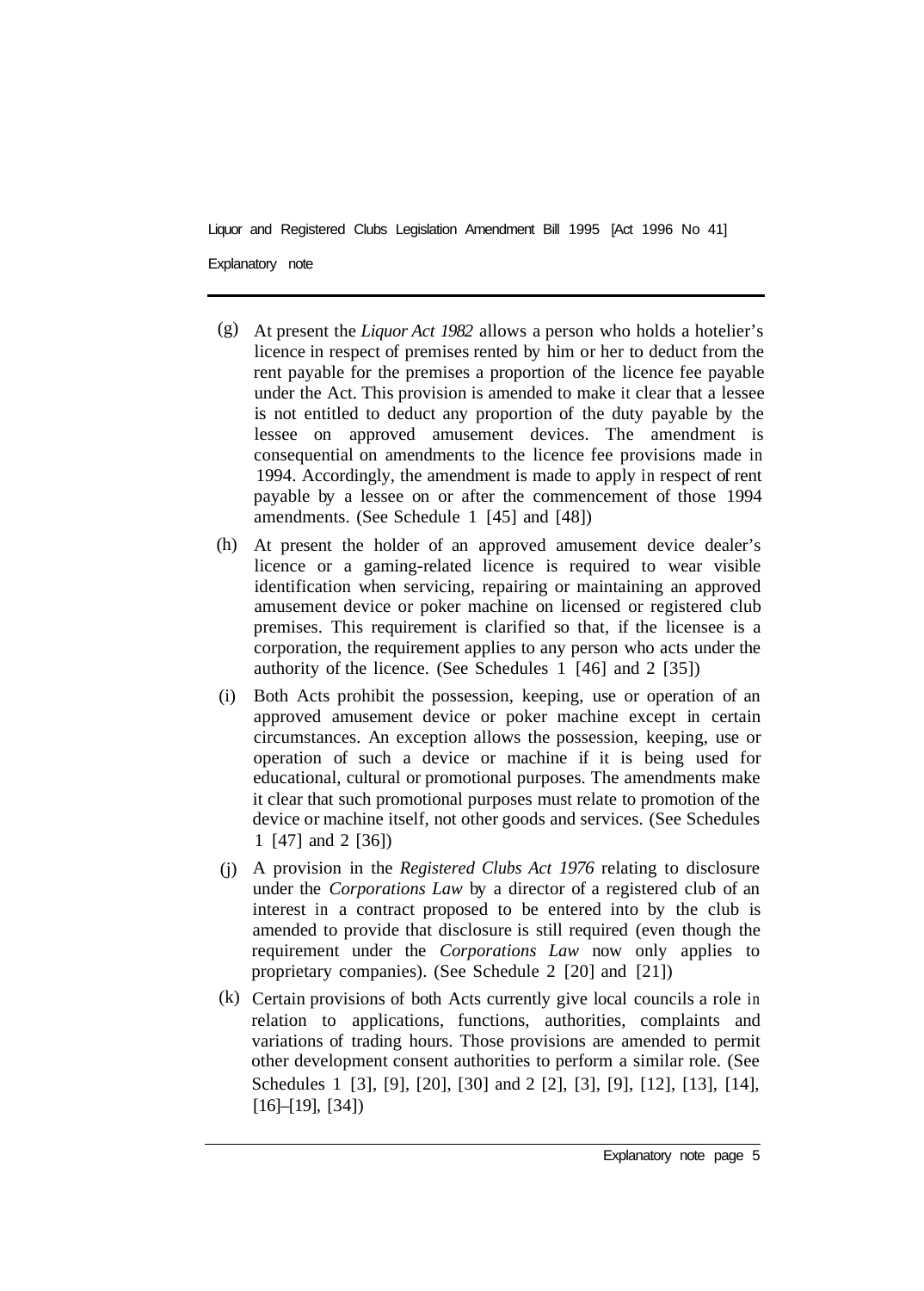- At present the *Liquor Act 1982* allows a person who holds a hotelier's (g) licence in respect of premises rented by him or her to deduct from the rent payable for the premises a proportion of the licence fee payable under the Act. This provision is amended to make it clear that a lessee is not entitled to deduct any proportion of the duty payable by the lessee on approved amusement devices. The amendment is consequential on amendments to the licence fee provisions made in 1994. Accordingly, the amendment is made to apply in respect of rent payable by a lessee on or after the commencement of those 1994 amendments. (See Schedule 1 [45] and [48])
- At present the holder of an approved amusement device dealer's (h) licence or a gaming-related licence is required to wear visible identification when servicing, repairing or maintaining an approved amusement device or poker machine on licensed or registered club premises. This requirement is clarified so that, if the licensee is a corporation, the requirement applies to any person who acts under the authority of the licence. (See Schedules 1 [46] and 2 [35])
- Both Acts prohibit the possession, keeping, use or operation of an (i) approved amusement device or poker machine except in certain circumstances. An exception allows the possession, keeping, use or operation of such a device or machine if it is being used for educational, cultural or promotional purposes. The amendments make it clear that such promotional purposes must relate to promotion of the device or machine itself, not other goods and services. (See Schedules 1 [47] and 2 [36])
- A provision in the *Registered Clubs Act 1976* relating to disclosure (j) under the *Corporations Law* by a director of a registered club of an interest in a contract proposed to be entered into by the club is amended to provide that disclosure is still required (even though the requirement under the *Corporations Law* now only applies to proprietary companies). (See Schedule 2 [20] and [21])
- Certain provisions of both Acts currently give local councils a role in (k)relation to applications, functions, authorities, complaints and variations of trading hours. Those provisions are amended to permit other development consent authorities to perform a similar role. (See Schedules 1 [3], [9], [20], [30] and 2 [2], [3], [9], [12], [13], [14], [16]–[19], [34])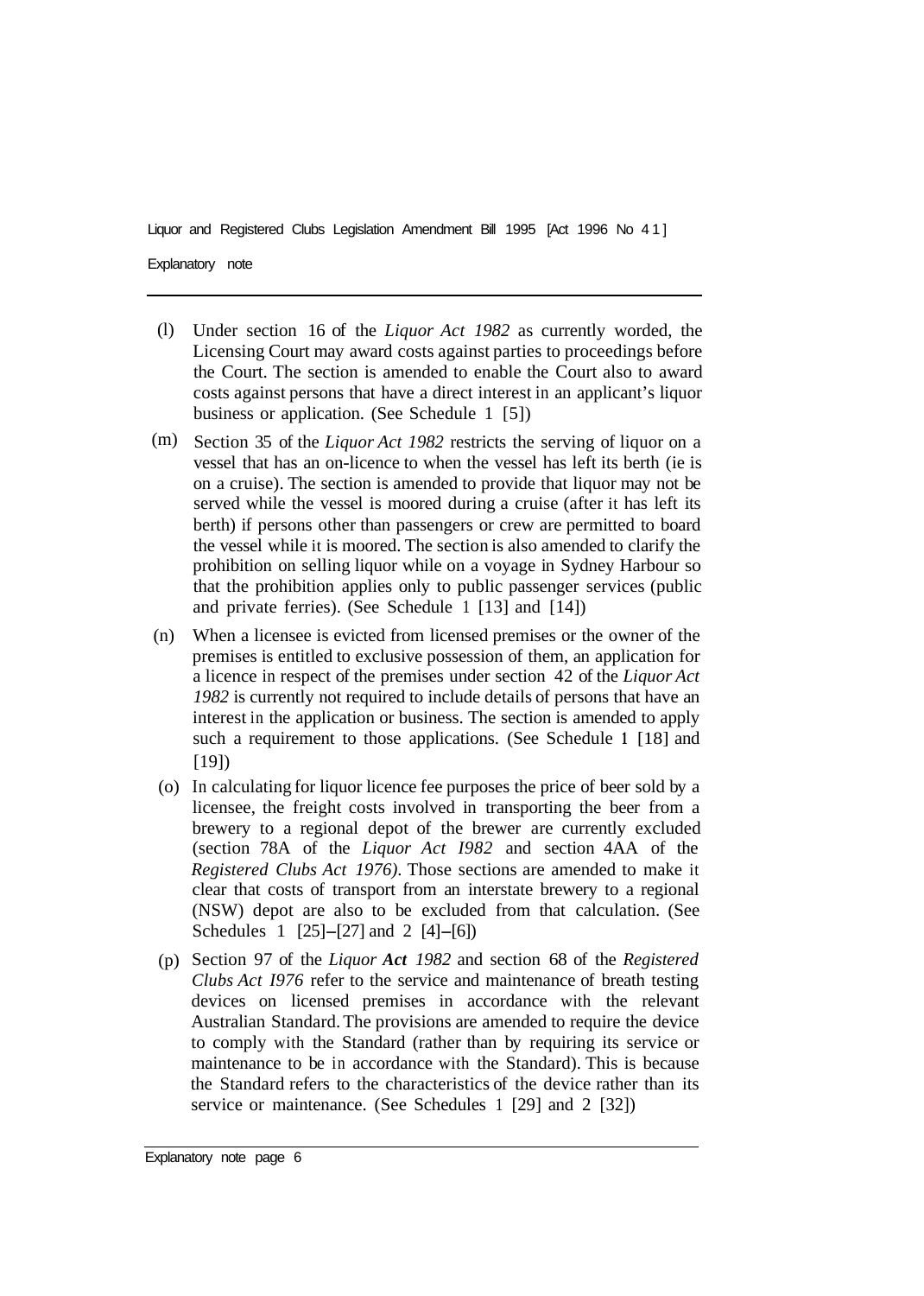- Under section 16 of the *Liquor Act 1982* as currently worded, the Licensing Court may award costs against parties to proceedings before the Court. The section is amended to enable the Court also to award costs against persons that have a direct interest in an applicant's liquor business or application. (See Schedule 1 [5]) (l)
- Section 35 of the *Liquor Act 1982* restricts the serving of liquor on a vessel that has an on-licence to when the vessel has left its berth (ie is on a cruise). The section is amended to provide that liquor may not be served while the vessel is moored during a cruise (after it has left its berth) if persons other than passengers or crew are permitted to board the vessel while it is moored. The section is also amended to clarify the prohibition on selling liquor while on a voyage in Sydney Harbour so that the prohibition applies only to public passenger services (public and private ferries). (See Schedule 1 [13] and [14]) (m)
- When a licensee is evicted from licensed premises or the owner of the premises is entitled to exclusive possession of them, an application for a licence in respect of the premises under section 42 of the *Liquor Act 1982* is currently not required to include details of persons that have an interest in the application or business. The section is amended to apply such a requirement to those applications. (See Schedule **1** [18] and [19]) (n)
- (o) In calculating for liquor licence fee purposes the price of beer sold by a licensee, the freight costs involved in transporting the beer from a brewery to a regional depot of the brewer are currently excluded (section 78A of the *Liquor Act I982* and section 4AA of the *Registered Clubs Act 1976).* Those sections are amended to make it clear that costs of transport from an interstate brewery to a regional (NSW) depot are also to be excluded from that calculation. (See Schedules 1 [25]-[27] and 2 [4]-[6])
- (p) Section 97 of the *Liquor Act 1982* and section 68 of the *Registered Clubs Act I976* refer to the service and maintenance of breath testing devices on licensed premises in accordance with the relevant Australian Standard. The provisions are amended to require the device to comply with the Standard (rather than by requiring its service or maintenance to be in accordance with the Standard). This is because the Standard refers to the characteristics of the device rather than its service or maintenance. (See Schedules 1 [29] and 2 [32])